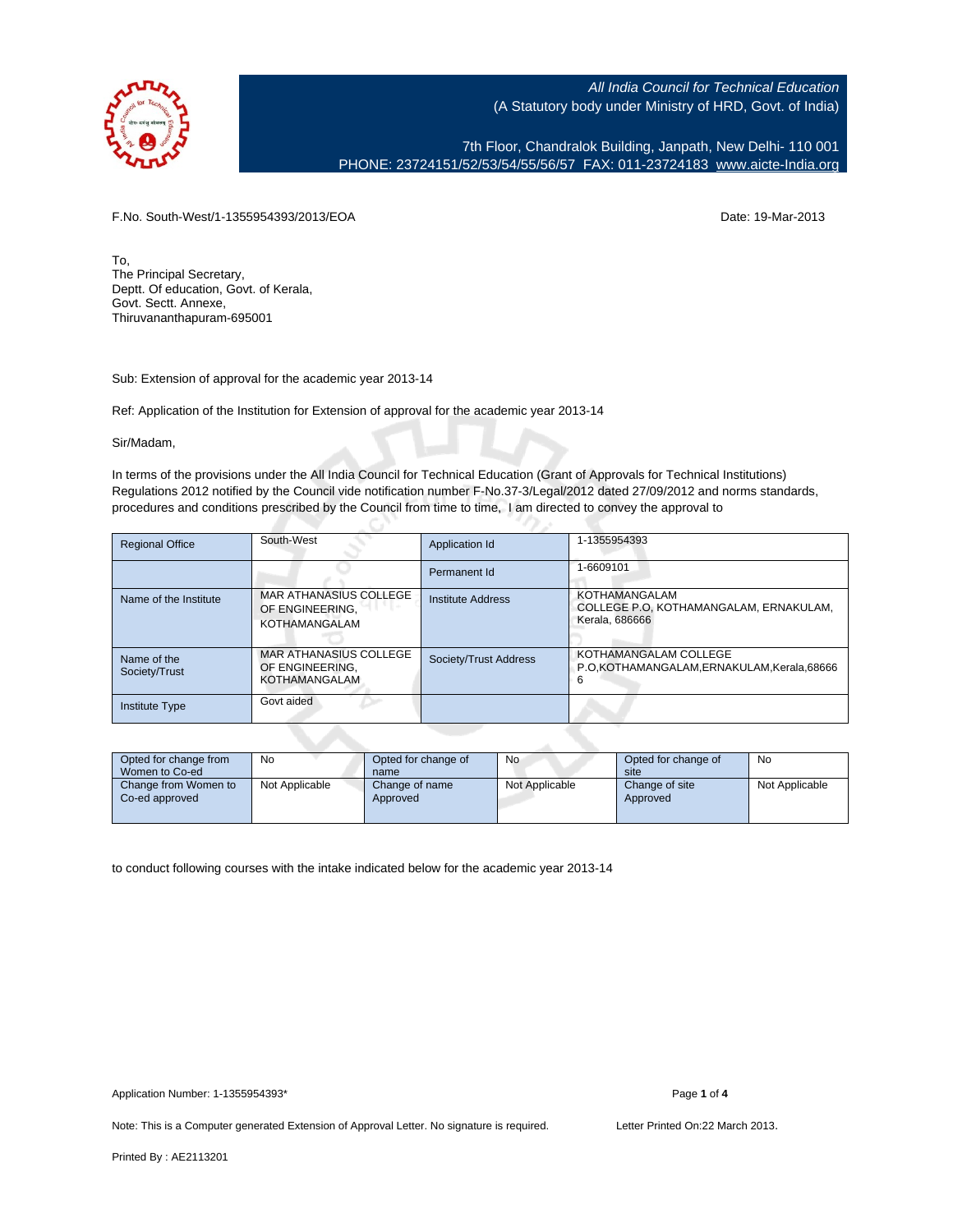

7th Floor, Chandralok Building, Janpath, New Delhi- 110 001 PHONE: 23724151/52/53/54/55/56/57 FAX: 011-23724183 [www.aicte-India.org](http://www.aicte-India.org)

F.No. South-West/1-1355954393/2013/EOA Date: 19-Mar-2013

To, The Principal Secretary, Deptt. Of education, Govt. of Kerala, Govt. Sectt. Annexe, Thiruvananthapuram-695001

Sub: Extension of approval for the academic year 2013-14

Ref: Application of the Institution for Extension of approval for the academic year 2013-14

Sir/Madam,

In terms of the provisions under the All India Council for Technical Education (Grant of Approvals for Technical Institutions) Regulations 2012 notified by the Council vide notification number F-No.37-3/Legal/2012 dated 27/09/2012 and norms standards, procedures and conditions prescribed by the Council from time to time, I am directed to convey the approval to

| <b>Regional Office</b>       | South-West                                                        | Application Id           | 1-1355954393                                                              |
|------------------------------|-------------------------------------------------------------------|--------------------------|---------------------------------------------------------------------------|
|                              |                                                                   | Permanent Id             | 1-6609101                                                                 |
| Name of the Institute        | MAR ATHANASIUS COLLEGE<br>OF ENGINEERING.<br><b>KOTHAMANGALAM</b> | <b>Institute Address</b> | KOTHAMANGALAM<br>COLLEGE P.O. KOTHAMANGALAM, ERNAKULAM,<br>Kerala, 686666 |
| Name of the<br>Society/Trust | <b>MAR ATHANASIUS COLLEGE</b><br>OF ENGINEERING.<br>KOTHAMANGALAM | Society/Trust Address    | KOTHAMANGALAM COLLEGE<br>P.O.KOTHAMANGALAM, ERNAKULAM, Kerala, 68666<br>6 |
| <b>Institute Type</b>        | Govt aided                                                        |                          |                                                                           |

| Opted for change from<br>Women to Co-ed | No             | Opted for change of<br>name | No             | Opted for change of<br>site | No             |
|-----------------------------------------|----------------|-----------------------------|----------------|-----------------------------|----------------|
| Change from Women to<br>Co-ed approved  | Not Applicable | Change of name<br>Approved  | Not Applicable | Change of site<br>Approved  | Not Applicable |

to conduct following courses with the intake indicated below for the academic year 2013-14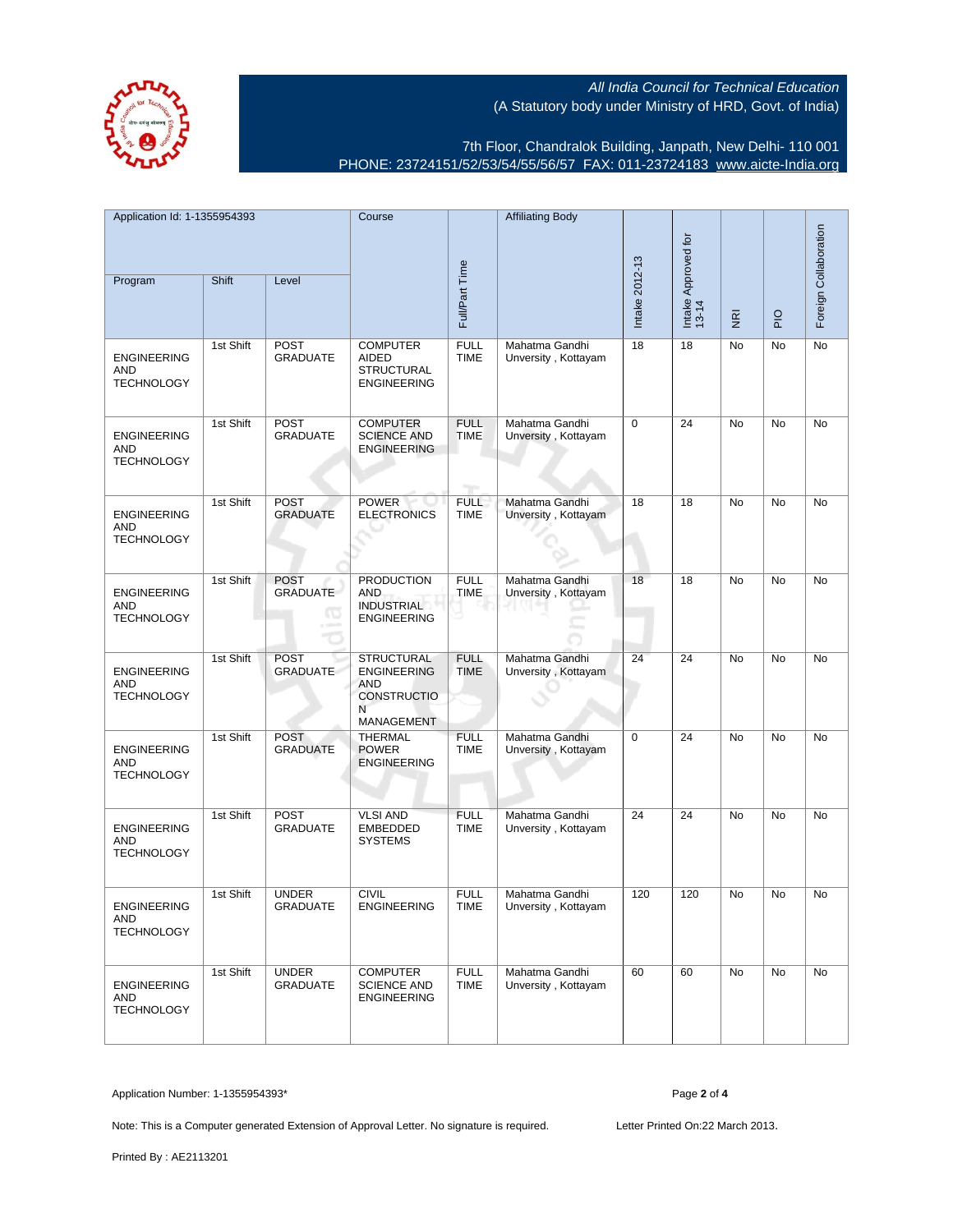7th Floor, Chandralok Building, Janpath, New Delhi- 110 001 PHONE: 23724151/52/53/54/55/56/57 FAX: 011-23724183 [www.aicte-India.org](http://www.aicte-India.org)

| Application Id: 1-1355954393<br>Program               | Shift     | Level                           | Course                                                                                         | Full/Part Time                                 | <b>Affiliating Body</b>               | Intake 2012-13 | Intake Approved for<br>13-14 | $\overline{\underline{\mathbf{g}}}$ | $\frac{1}{2}$ | Foreign Collaboration |
|-------------------------------------------------------|-----------|---------------------------------|------------------------------------------------------------------------------------------------|------------------------------------------------|---------------------------------------|----------------|------------------------------|-------------------------------------|---------------|-----------------------|
| <b>ENGINEERING</b><br>AND<br><b>TECHNOLOGY</b>        | 1st Shift | <b>POST</b><br><b>GRADUATE</b>  | <b>COMPUTER</b><br><b>AIDED</b><br><b>STRUCTURAL</b><br><b>ENGINEERING</b>                     | <b>FULL</b><br><b>TIME</b>                     | Mahatma Gandhi<br>Unversity, Kottayam | 18             | 18                           | No                                  | No            | No                    |
| <b>ENGINEERING</b><br><b>AND</b><br><b>TECHNOLOGY</b> | 1st Shift | POST<br><b>GRADUATE</b>         | <b>COMPUTER</b><br><b>SCIENCE AND</b><br><b>ENGINEERING</b>                                    | <b>FULL</b><br><b>TIME</b><br><b>Telesting</b> | Mahatma Gandhi<br>Unversity, Kottayam | $\mathbf 0$    | 24                           | No                                  | No            | No                    |
| <b>ENGINEERING</b><br>AND<br><b>TECHNOLOGY</b>        | 1st Shift | <b>POST</b><br><b>GRADUATE</b>  | <b>POWER</b><br><b>ELECTRONICS</b>                                                             | <b>FULL</b><br><b>TIME</b>                     | Mahatma Gandhi<br>Unversity, Kottayam | 18             | 18                           | No                                  | No            | No                    |
| <b>ENGINEERING</b><br>AND<br><b>TECHNOLOGY</b>        | 1st Shift | <b>POST</b><br><b>GRADUATE</b>  | <b>PRODUCTION</b><br>AND<br>INDUSTRIAL<br><b>ENGINEERING</b>                                   | <b>FULL</b><br><b>TIME</b>                     | Mahatma Gandhi<br>Unversity, Kottayam | 18             | 18                           | No                                  | No            | No                    |
| <b>ENGINEERING</b><br><b>AND</b><br><b>TECHNOLOGY</b> | 1st Shift | <b>POST</b><br><b>GRADUATE</b>  | <b>STRUCTURAL</b><br><b>ENGINEERING</b><br><b>AND</b><br><b>CONSTRUCTIO</b><br>N<br>MANAGEMENT | <b>FULL</b><br><b>TIME</b>                     | Mahatma Gandhi<br>Unversity, Kottayam | 24             | 24                           | No                                  | <b>No</b>     | No                    |
| <b>ENGINEERING</b><br>AND<br><b>TECHNOLOGY</b>        | 1st Shift | <b>POST</b><br><b>GRADUATE</b>  | <b>THERMAL</b><br><b>POWER</b><br><b>ENGINEERING</b>                                           | <b>FULL</b><br><b>TIME</b>                     | Mahatma Gandhi<br>Unversity, Kottayam | 0              | 24                           | No                                  | No            | No                    |
| <b>ENGINEERING</b><br><b>AND</b><br><b>TECHNOLOGY</b> | 1st Shift | POST<br><b>GRADUATE</b>         | <b>VLSI AND</b><br><b>EMBEDDED</b><br><b>SYSTEMS</b>                                           | <b>FULL</b><br><b>TIME</b>                     | Mahatma Gandhi<br>Unversity, Kottayam | 24             | 24                           | No                                  | No            | No                    |
| <b>ENGINEERING</b><br>AND<br><b>TECHNOLOGY</b>        | 1st Shift | <b>UNDER</b><br><b>GRADUATE</b> | <b>CIVIL</b><br>ENGINEERING                                                                    | <b>FULL</b><br><b>TIME</b>                     | Mahatma Gandhi<br>Unversity, Kottayam | 120            | 120                          | No                                  | No            | No                    |
| <b>ENGINEERING</b><br>AND<br><b>TECHNOLOGY</b>        | 1st Shift | <b>UNDER</b><br><b>GRADUATE</b> | <b>COMPUTER</b><br><b>SCIENCE AND</b><br><b>ENGINEERING</b>                                    | <b>FULL</b><br><b>TIME</b>                     | Mahatma Gandhi<br>Unversity, Kottayam | 60             | 60                           | No                                  | No            | No                    |

Application Number: 1-1355954393\* Page **2** of **4**

Note: This is a Computer generated Extension of Approval Letter. No signature is required. Letter Printed On:22 March 2013.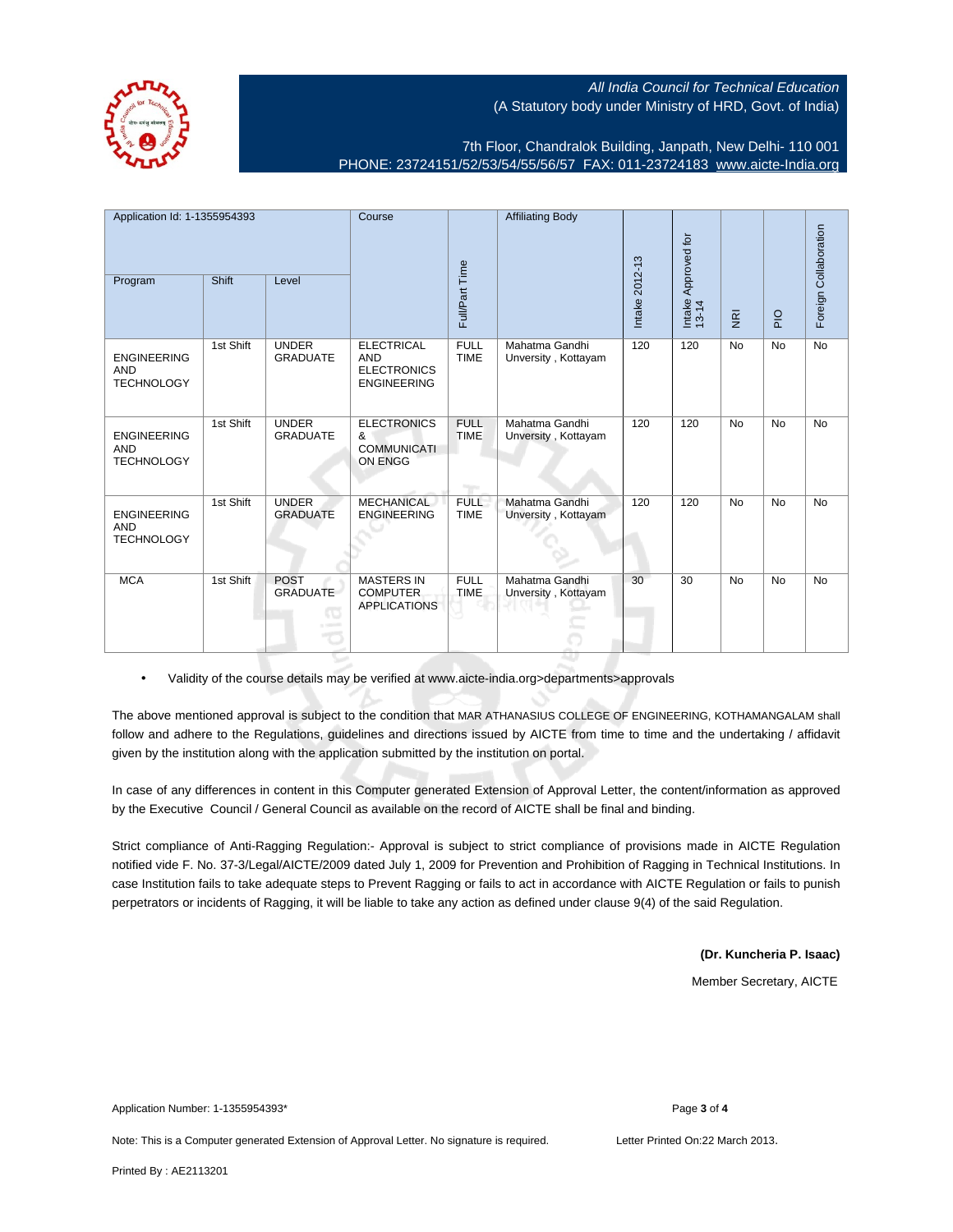7th Floor, Chandralok Building, Janpath, New Delhi- 110 001 PHONE: 23724151/52/53/54/55/56/57 FAX: 011-23724183 [www.aicte-India.org](http://www.aicte-India.org)

| Application Id: 1-1355954393                          |              | Course                               |                                                                             | <b>Affiliating Body</b>    |                                       |                 |                              |                         |               |                       |
|-------------------------------------------------------|--------------|--------------------------------------|-----------------------------------------------------------------------------|----------------------------|---------------------------------------|-----------------|------------------------------|-------------------------|---------------|-----------------------|
| Program                                               | <b>Shift</b> | Level                                |                                                                             | Full/Part Time             |                                       | Intake 2012-13  | Intake Approved for<br>13-14 | $\overline{\mathbf{g}}$ | $\frac{1}{2}$ | Foreign Collaboration |
| <b>ENGINEERING</b><br><b>AND</b><br><b>TECHNOLOGY</b> | 1st Shift    | <b>UNDER</b><br><b>GRADUATE</b>      | <b>ELECTRICAL</b><br><b>AND</b><br><b>ELECTRONICS</b><br><b>ENGINEERING</b> | <b>FULL</b><br><b>TIME</b> | Mahatma Gandhi<br>Unversity, Kottayam | 120             | 120                          | <b>No</b>               | <b>No</b>     | <b>No</b>             |
| <b>ENGINEERING</b><br><b>AND</b><br><b>TECHNOLOGY</b> | 1st Shift    | <b>UNDER</b><br><b>GRADUATE</b>      | <b>ELECTRONICS</b><br>&<br><b>COMMUNICATI</b><br>ON ENGG                    | <b>FULL</b><br><b>TIME</b> | Mahatma Gandhi<br>Unversity, Kottayam | 120             | 120                          | <b>No</b>               | <b>No</b>     | <b>No</b>             |
| <b>ENGINEERING</b><br><b>AND</b><br><b>TECHNOLOGY</b> | 1st Shift    | <b>UNDER</b><br><b>GRADUATE</b>      | <b>MECHANICAL</b><br><b>ENGINEERING</b>                                     | <b>FULL</b><br><b>TIME</b> | Mahatma Gandhi<br>Unversity, Kottayam | 120             | 120                          | <b>No</b>               | No            | <b>No</b>             |
| <b>MCA</b>                                            | 1st Shift    | <b>POST</b><br><b>GRADUATE</b><br>ТO | <b>MASTERS IN</b><br><b>COMPUTER</b><br><b>APPLICATIONS</b>                 | <b>FULL</b><br><b>TIME</b> | Mahatma Gandhi<br>Unversity, Kottayam | $\overline{30}$ | 30                           | <b>No</b>               | <b>No</b>     | <b>No</b>             |

• Validity of the course details may be verified at www.aicte-india.org>departments>approvals

The above mentioned approval is subject to the condition that MAR ATHANASIUS COLLEGE OF ENGINEERING, KOTHAMANGALAM shall follow and adhere to the Regulations, guidelines and directions issued by AICTE from time to time and the undertaking / affidavit given by the institution along with the application submitted by the institution on portal.

In case of any differences in content in this Computer generated Extension of Approval Letter, the content/information as approved by the Executive Council / General Council as available on the record of AICTE shall be final and binding.

Strict compliance of Anti-Ragging Regulation:- Approval is subject to strict compliance of provisions made in AICTE Regulation notified vide F. No. 37-3/Legal/AICTE/2009 dated July 1, 2009 for Prevention and Prohibition of Ragging in Technical Institutions. In case Institution fails to take adequate steps to Prevent Ragging or fails to act in accordance with AICTE Regulation or fails to punish perpetrators or incidents of Ragging, it will be liable to take any action as defined under clause 9(4) of the said Regulation.

**(Dr. Kuncheria P. Isaac)**

Member Secretary, AICTE

Application Number: 1-1355954393\* Page **3** of **4**

Note: This is a Computer generated Extension of Approval Letter. No signature is required. Letter Printed On:22 March 2013.